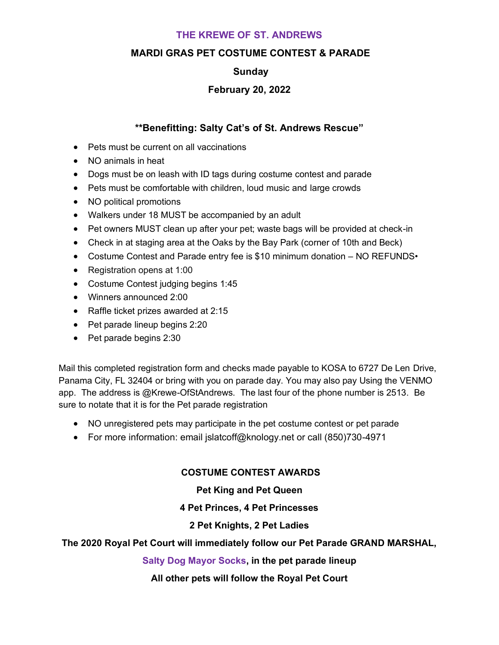# **THE KREWE OF ST. ANDREWS**

# **MARDI GRAS PET COSTUME CONTEST & PARADE**

# **Sunday**

# **February 20, 2022**

## **\*\*Benefitting: Salty Cat's of St. Andrews Rescue"**

- Pets must be current on all vaccinations
- NO animals in heat
- Dogs must be on leash with ID tags during costume contest and parade
- Pets must be comfortable with children, loud music and large crowds
- NO political promotions
- Walkers under 18 MUST be accompanied by an adult
- Pet owners MUST clean up after your pet; waste bags will be provided at check-in
- Check in at staging area at the Oaks by the Bay Park (corner of 10th and Beck)
- Costume Contest and Parade entry fee is \$10 minimum donation NO REFUNDS•
- Registration opens at 1:00
- Costume Contest judging begins 1:45
- Winners announced 2:00
- Raffle ticket prizes awarded at 2:15
- Pet parade lineup begins 2:20
- Pet parade begins 2:30

Mail this completed registration form and checks made payable to KOSA to 6727 De Len Drive, Panama City, FL 32404 or bring with you on parade day. You may also pay Using the VENMO app. The address is @Krewe-OfStAndrews. The last four of the phone number is 2513. Be sure to notate that it is for the Pet parade registration

- NO unregistered pets may participate in the pet costume contest or pet parade
- For more information: email jslatcoff@knology.net or call (850)730-4971

## **COSTUME CONTEST AWARDS**

## **Pet King and Pet Queen**

#### **4 Pet Princes, 4 Pet Princesses**

## **2 Pet Knights, 2 Pet Ladies**

## **The 2020 Royal Pet Court will immediately follow our Pet Parade GRAND MARSHAL,**

#### **Salty Dog Mayor Socks, in the pet parade lineup**

## **All other pets will follow the Royal Pet Court**